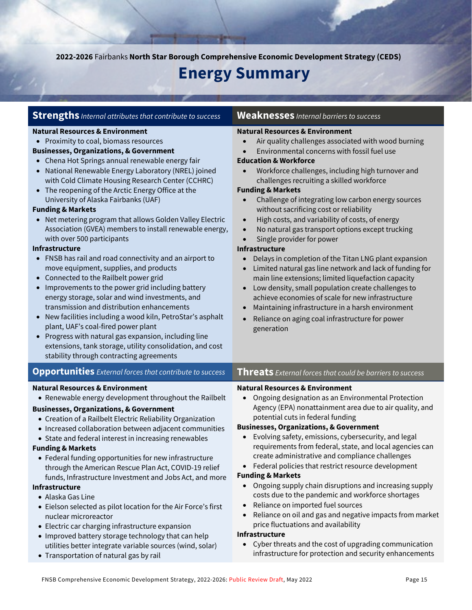**2022-2026** Fairbanks **North Star Borough Comprehensive Economic Development Strategy (CEDS)**

# **Energy Summary**

|  |  | $\mathsf{Stream}$ internal attributes that contribute to success |  |  |
|--|--|------------------------------------------------------------------|--|--|
|--|--|------------------------------------------------------------------|--|--|

#### **Natural Resources & Environment**

• Proximity to coal, biomass resources

#### **Businesses, Organizations, & Government**

- Chena Hot Springs annual renewable energy fair
- National Renewable Energy Laboratory (NREL) joined with Cold Climate Housing Research Center (CCHRC)
- The reopening of the Arctic Energy Office at the University of Alaska Fairbanks (UAF)

#### **Funding & Markets**

• Net metering program that allows Golden Valley Electric Association (GVEA) members to install renewable energy, with over 500 participants

#### **Infrastructure**

- FNSB has rail and road connectivity and an airport to move equipment, supplies, and products
- Connected to the Railbelt power grid
- Improvements to the power grid including battery energy storage, solar and wind investments, and transmission and distribution enhancements
- New facilities including a wood kiln, PetroStar's asphalt plant, UAF's coal-fired power plant
- Progress with natural gas expansion, including line extensions, tank storage, utility consolidation, and cost stability through contracting agreements

#### **Natural Resources & Environment**

• Renewable energy development throughout the Railbelt

#### **Businesses, Organizations, & Government**

- Creation of a Railbelt Electric Reliability Organization
- Increased collaboration between adjacent communities
- State and federal interest in increasing renewables

#### **Funding & Markets**

• Federal funding opportunities for new infrastructure through the American Rescue Plan Act, COVID-19 relief funds, Infrastructure Investment and Jobs Act, and more

#### **Infrastructure**

- Alaska Gas Line
- Eielson selected as pilot location for the Air Force's first nuclear microreactor
- Electric car charging infrastructure expansion
- Improved battery storage technology that can help utilities better integrate variable sources (wind, solar)
- Transportation of natural gas by rail

#### **Weaknesses** *Internal barriers to success*

#### **Natural Resources & Environment**

- Air quality challenges associated with wood burning
- Environmental concerns with fossil fuel use

#### **Education & Workforce**

• Workforce challenges, including high turnover and challenges recruiting a skilled workforce

#### **Funding & Markets**

- Challenge of integrating low carbon energy sources without sacrificing cost or reliability
- High costs, and variability of costs, of energy
- No natural gas transport options except trucking
- Single provider for power

#### **Infrastructure**

- Delays in completion of the Titan LNG plant expansion
- Limited natural gas line network and lack of funding for main line extensions; limited liquefaction capacity
- Low density, small population create challenges to achieve economies of scale for new infrastructure
- Maintaining infrastructure in a harsh environment
- Reliance on aging coal infrastructure for power generation

#### **Opportunities** *External forces that contribute to success* **Threats** *External forces that could be barriers to success*

#### **Natural Resources & Environment**

• Ongoing designation as an Environmental Protection Agency (EPA) nonattainment area due to air quality, and potential cuts in federal funding

#### **Businesses, Organizations, & Government**

- Evolving safety, emissions, cybersecurity, and legal requirements from federal, state, and local agencies can create administrative and compliance challenges
- Federal policies that restrict resource development

#### **Funding & Markets**

- Ongoing supply chain disruptions and increasing supply costs due to the pandemic and workforce shortages
- Reliance on imported fuel sources
- Reliance on oil and gas and negative impacts from market price fluctuations and availability

#### **Infrastructure**

• Cyber threats and the cost of upgrading communication infrastructure for protection and security enhancements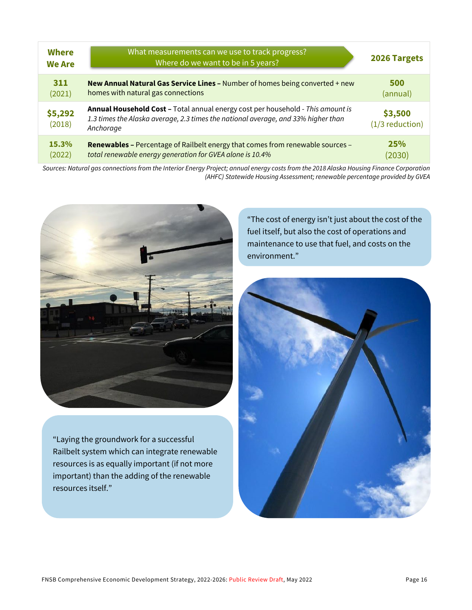| <b>Where</b><br><b>We Are</b> | What measurements can we use to track progress?<br>Where do we want to be in 5 years?                                                                                             | 2026 Targets               |
|-------------------------------|-----------------------------------------------------------------------------------------------------------------------------------------------------------------------------------|----------------------------|
| 311                           | New Annual Natural Gas Service Lines - Number of homes being converted + new                                                                                                      | 500                        |
| (2021)                        | homes with natural gas connections                                                                                                                                                | (annual)                   |
| \$5,292<br>(2018)             | Annual Household Cost - Total annual energy cost per household - This amount is<br>1.3 times the Alaska average, 2.3 times the national average, and 33% higher than<br>Anchorage | \$3,500<br>(1/3 reduction) |
| 15.3%                         | Renewables - Percentage of Railbelt energy that comes from renewable sources -                                                                                                    | 25%                        |
| (2022)                        | total renewable energy generation for GVEA alone is 10.4%                                                                                                                         | (2030)                     |

*Sources: Natural gas connections from the Interior Energy Project; annual energy costs from the 2018 Alaska Housing Finance Corporation (AHFC) Statewide Housing Assessment; renewable percentage provided by GVEA*



"Laying the groundwork for a successful Railbelt system which can integrate renewable resources is as equally important (if not more important) than the adding of the renewable resources itself."

"The cost of energy isn't just about the cost of the fuel itself, but also the cost of operations and maintenance to use that fuel, and costs on the environment."

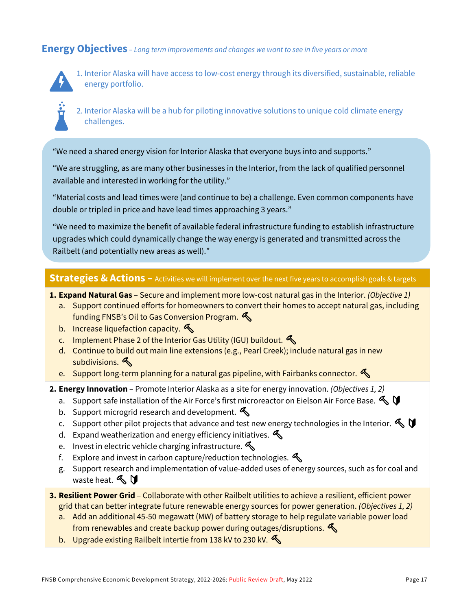### **Energy Objectives** *– Long term improvements and changes we want to see in five years or more*



1. Interior Alaska will have access to low-cost energy through its diversified, sustainable, reliable energy portfolio.



2. Interior Alaska will be a hub for piloting innovative solutions to unique cold climate energy challenges.

"We need a shared energy vision for Interior Alaska that everyone buys into and supports."

"We are struggling, as are many other businesses in the Interior, from the lack of qualified personnel available and interested in working for the utility."

"Material costs and lead times were (and continue to be) a challenge. Even common components have double or tripled in price and have lead times approaching 3 years."

"We need to maximize the benefit of available federal infrastructure funding to establish infrastructure upgrades which could dynamically change the way energy is generated and transmitted across the Railbelt (and potentially new areas as well)."

### **Strategies & Actions –** Activities we will implement over the next five years to accomplish goals & targets

- **1. Expand Natural Gas**  Secure and implement more low-cost natural gas in the Interior. *(Objective 1)*
	- a. Support continued efforts for homeowners to convert their homes to accept natural gas, including funding FNSB's Oil to Gas Conversion Program.
	- b. Increase liquefaction capacity.  $\bigotimes$
	- c. Implement Phase 2 of the Interior Gas Utility (IGU) buildout.
	- d. Continue to build out main line extensions (e.g., Pearl Creek); include natural gas in new subdivisions.
	- e. Support long-term planning for a natural gas pipeline, with Fairbanks connector.
- **2. Energy Innovation**  Promote Interior Alaska as a site for energy innovation. *(Objectives 1, 2)*
	- a. Support safe installation of the Air Force's first microreactor on Eielson Air Force Base.
	- b. Support microgrid research and development.
	- c. Support other pilot projects that advance and test new energy technologies in the Interior.  $\mathbb{S} \mathbb{U}$
	- d. Expand weatherization and energy efficiency initiatives.  $\mathcal{L}$
	- e. Invest in electric vehicle charging infrastructure.  $\bigotimes$
	- f. Explore and invest in carbon capture/reduction technologies.  $\triangle$
	- g. Support research and implementation of value-added uses of energy sources, such as for coal and waste heat.  $\mathbb{R} \mathbb{U}$
- **3. Resilient Power Grid**  Collaborate with other Railbelt utilities to achieve a resilient, efficient power grid that can better integrate future renewable energy sources for power generation. *(Objectives 1, 2)*
	- a. Add an additional 45-50 megawatt (MW) of battery storage to help regulate variable power load from renewables and create backup power during outages/disruptions.
	- b. Upgrade existing Railbelt intertie from 138 kV to 230 kV.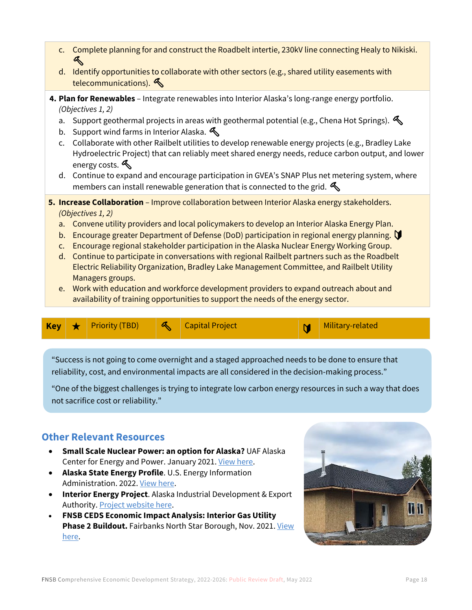- c. Complete planning for and construct the Roadbelt intertie, 230kV line connecting Healy to Nikiski.  $\mathbb{R}^+$
- d. Identify opportunities to collaborate with other sectors (e.g., shared utility easements with telecommunications).
- **4. Plan for Renewables**  Integrate renewables into Interior Alaska's long-range energy portfolio. *(Objectives 1, 2)*
	- a. Support geothermal projects in areas with geothermal potential (e.g., Chena Hot Springs).  $\mathcal{L}$
	- b. Support wind farms in Interior Alaska.
	- c. Collaborate with other Railbelt utilities to develop renewable energy projects (e.g., Bradley Lake Hydroelectric Project) that can reliably meet shared energy needs, reduce carbon output, and lower energy costs.
	- d. Continue to expand and encourage participation in GVEA's SNAP Plus net metering system, where members can install renewable generation that is connected to the grid.  $\mathcal{L}$
- **5. Increase Collaboration** Improve collaboration between Interior Alaska energy stakeholders. *(Objectives 1, 2)*
	- a. Convene utility providers and local policymakers to develop an Interior Alaska Energy Plan.
	- b. Encourage greater Department of Defense (DoD) participation in regional energy planning.
	- c. Encourage regional stakeholder participation in the Alaska Nuclear Energy Working Group.
	- d. Continue to participate in conversations with regional Railbelt partners such as the Roadbelt Electric Reliability Organization, Bradley Lake Management Committee, and Railbelt Utility Managers groups.
	- e. Work with education and workforce development providers to expand outreach about and availability of training opportunities to support the needs of the energy sector.

|  |  |  | <b>Key</b> $\star$ Priority (TBD) |  | Supplied Project |  | Military-related |
|--|--|--|-----------------------------------|--|------------------|--|------------------|
|--|--|--|-----------------------------------|--|------------------|--|------------------|

"Success is not going to come overnight and a staged approached needs to be done to ensure that reliability, cost, and environmental impacts are all considered in the decision-making process."

"One of the biggest challenges is trying to integrate low carbon energy resources in such a way that does not sacrifice cost or reliability."

## **Other Relevant Resources**

- **Small Scale Nuclear Power: an option for Alaska?** UAF Alaska Center for Energy and Power. January 2021[. View here.](https://acep.uaf.edu/media/303519/ACEP_Nuclear_Report_2020.pdf)
- **Alaska State Energy Profile**. U.S. Energy Information Administration. 2022[. View here.](https://www.eia.gov/state/print.php?sid=AK)
- **Interior Energy Project**. Alaska Industrial Development & Export Authority. [Project website here.](https://interiorenergyproject.com/)
- **FNSB CEDS Economic Impact Analysis: Interior Gas Utility Phase 2 Buildout.** Fairbanks North Star Borough, Nov. 2021. View [here.](https://fnsbceds.com/wp-content/uploads/2021/12/11-17-21_FNSB_CEDS_IGU_Phase_2_Analysis.pdf)

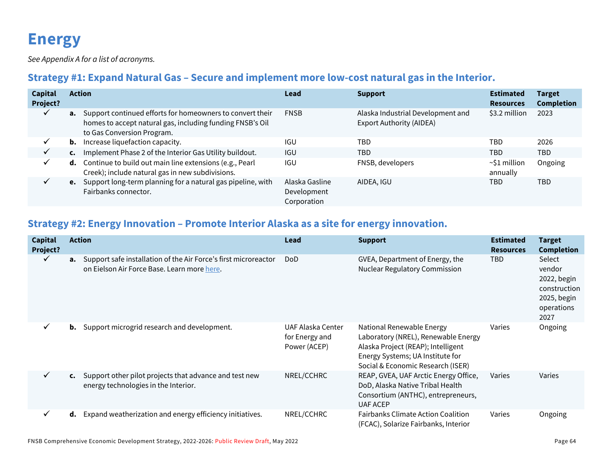# **Energy**

*See Appendix A for a list of acronyms.*

# **Strategy #1: Expand Natural Gas – Secure and implement more low-cost natural gas in the Interior.**

| <b>Capital</b><br>Project? |    | <b>Action</b>                                                                                                                                           | Lead                                         | <b>Support</b>                                                       | <b>Estimated</b><br><b>Resources</b> | <b>Target</b><br><b>Completion</b> |
|----------------------------|----|---------------------------------------------------------------------------------------------------------------------------------------------------------|----------------------------------------------|----------------------------------------------------------------------|--------------------------------------|------------------------------------|
|                            |    | a. Support continued efforts for homeowners to convert their<br>homes to accept natural gas, including funding FNSB's Oil<br>to Gas Conversion Program. | <b>FNSB</b>                                  | Alaska Industrial Development and<br><b>Export Authority (AIDEA)</b> | \$3.2 million                        | 2023                               |
| ✓                          | b. | Increase liquefaction capacity.                                                                                                                         | <b>IGU</b>                                   | TBD                                                                  | TBD                                  | 2026                               |
| $\checkmark$               | C. | Implement Phase 2 of the Interior Gas Utility buildout.                                                                                                 | <b>IGU</b>                                   | <b>TBD</b>                                                           | TBD                                  | <b>TBD</b>                         |
|                            |    | <b>d.</b> Continue to build out main line extensions (e.g., Pearl<br>Creek); include natural gas in new subdivisions.                                   | <b>IGU</b>                                   | FNSB, developers                                                     | $\sim$ S1 million<br>annually        | Ongoing                            |
|                            |    | e. Support long-term planning for a natural gas pipeline, with<br>Fairbanks connector.                                                                  | Alaska Gasline<br>Development<br>Corporation | AIDEA, IGU                                                           | TBD                                  | <b>TBD</b>                         |

# **Strategy #2: Energy Innovation – Promote Interior Alaska as a site for energy innovation.**

| <b>Capital</b><br>Project? |    | <b>Action</b>                                                                                                  | Lead                                                | <b>Support</b>                                                                                                                                                                  | <b>Estimated</b><br><b>Resources</b> | <b>Target</b><br><b>Completion</b>                                                   |
|----------------------------|----|----------------------------------------------------------------------------------------------------------------|-----------------------------------------------------|---------------------------------------------------------------------------------------------------------------------------------------------------------------------------------|--------------------------------------|--------------------------------------------------------------------------------------|
| $\checkmark$               | а. | Support safe installation of the Air Force's first microreactor<br>on Eielson Air Force Base. Learn more here. | <b>DoD</b>                                          | GVEA, Department of Energy, the<br><b>Nuclear Regulatory Commission</b>                                                                                                         | TBD                                  | Select<br>vendor<br>2022, begin<br>construction<br>2025, begin<br>operations<br>2027 |
| $\checkmark$               | b. | Support microgrid research and development.                                                                    | UAF Alaska Center<br>for Energy and<br>Power (ACEP) | National Renewable Energy<br>Laboratory (NREL), Renewable Energy<br>Alaska Project (REAP); Intelligent<br>Energy Systems; UA Institute for<br>Social & Economic Research (ISER) | Varies                               | Ongoing                                                                              |
| $\checkmark$               |    | c. Support other pilot projects that advance and test new<br>energy technologies in the Interior.              | NREL/CCHRC                                          | REAP, GVEA, UAF Arctic Energy Office,<br>DoD, Alaska Native Tribal Health<br>Consortium (ANTHC), entrepreneurs,<br><b>UAF ACEP</b>                                              | Varies                               | Varies                                                                               |
| $\checkmark$               | d. | Expand weatherization and energy efficiency initiatives.                                                       | NREL/CCHRC                                          | <b>Fairbanks Climate Action Coalition</b><br>(FCAC), Solarize Fairbanks, Interior                                                                                               | Varies                               | Ongoing                                                                              |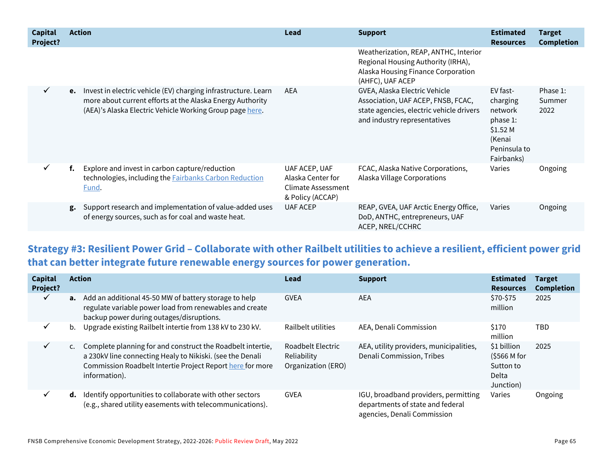| <b>Capital</b><br>Project? | <b>Action</b>                                                                                                                                                                              | Lead                                                                                | <b>Support</b>                                                                                                                                  | <b>Estimated</b><br><b>Resources</b>                                                            | <b>Target</b><br><b>Completion</b> |
|----------------------------|--------------------------------------------------------------------------------------------------------------------------------------------------------------------------------------------|-------------------------------------------------------------------------------------|-------------------------------------------------------------------------------------------------------------------------------------------------|-------------------------------------------------------------------------------------------------|------------------------------------|
|                            |                                                                                                                                                                                            |                                                                                     | Weatherization, REAP, ANTHC, Interior<br>Regional Housing Authority (IRHA),<br>Alaska Housing Finance Corporation<br>(AHFC), UAF ACEP           |                                                                                                 |                                    |
| $\checkmark$               | e. Invest in electric vehicle (EV) charging infrastructure. Learn<br>more about current efforts at the Alaska Energy Authority<br>(AEA)'s Alaska Electric Vehicle Working Group page here. | AEA                                                                                 | GVEA, Alaska Electric Vehicle<br>Association, UAF ACEP, FNSB, FCAC,<br>state agencies, electric vehicle drivers<br>and industry representatives | EV fast-<br>charging<br>network<br>phase 1:<br>\$1.52 M<br>(Kenai<br>Peninsula to<br>Fairbanks) | Phase 1:<br>Summer<br>2022         |
| $\checkmark$               | Explore and invest in carbon capture/reduction<br>f.<br>technologies, including the <b>Fairbanks Carbon Reduction</b><br><u>Fund</u> .                                                     | UAF ACEP, UAF<br>Alaska Center for<br><b>Climate Assessment</b><br>& Policy (ACCAP) | FCAC, Alaska Native Corporations,<br>Alaska Village Corporations                                                                                | Varies                                                                                          | Ongoing                            |
|                            | Support research and implementation of value-added uses<br>g.<br>of energy sources, such as for coal and waste heat.                                                                       | <b>UAF ACEP</b>                                                                     | REAP, GVEA, UAF Arctic Energy Office,<br>DoD, ANTHC, entrepreneurs, UAF<br>ACEP, NREL/CCHRC                                                     | Varies                                                                                          | Ongoing                            |

**Strategy #3: Resilient Power Grid – Collaborate with other Railbelt utilities to achieve a resilient, efficient power grid that can better integrate future renewable energy sources for power generation.**

| <b>Capital</b><br>Project? |                | <b>Action</b>                                                                                                                                                                                         | Lead                                                   | <b>Support</b>                                                                                          | <b>Estimated</b><br><b>Resources</b>                                 | <b>Target</b><br><b>Completion</b> |
|----------------------------|----------------|-------------------------------------------------------------------------------------------------------------------------------------------------------------------------------------------------------|--------------------------------------------------------|---------------------------------------------------------------------------------------------------------|----------------------------------------------------------------------|------------------------------------|
| $\checkmark$               |                | <b>a.</b> Add an additional 45-50 MW of battery storage to help<br>regulate variable power load from renewables and create<br>backup power during outages/disruptions.                                | <b>GVEA</b>                                            | <b>AEA</b>                                                                                              | \$70-\$75<br>million                                                 | 2025                               |
| ✓                          | b.             | Upgrade existing Railbelt intertie from 138 kV to 230 kV.                                                                                                                                             | Railbelt utilities                                     | AEA, Denali Commission                                                                                  | \$170<br>million                                                     | TBD                                |
| ✓                          | $\mathsf{C}$ . | Complete planning for and construct the Roadbelt intertie,<br>a 230kV line connecting Healy to Nikiski. (see the Denali<br>Commission Roadbelt Intertie Project Report here for more<br>information). | Roadbelt Electric<br>Reliability<br>Organization (ERO) | AEA, utility providers, municipalities,<br>Denali Commission, Tribes                                    | \$1 billion<br>(5566 M for<br>Sutton to<br><b>Delta</b><br>Junction) | 2025                               |
| ✓                          | d.             | Identify opportunities to collaborate with other sectors<br>(e.g., shared utility easements with telecommunications).                                                                                 | <b>GVEA</b>                                            | IGU, broadband providers, permitting<br>departments of state and federal<br>agencies, Denali Commission | Varies                                                               | Ongoing                            |